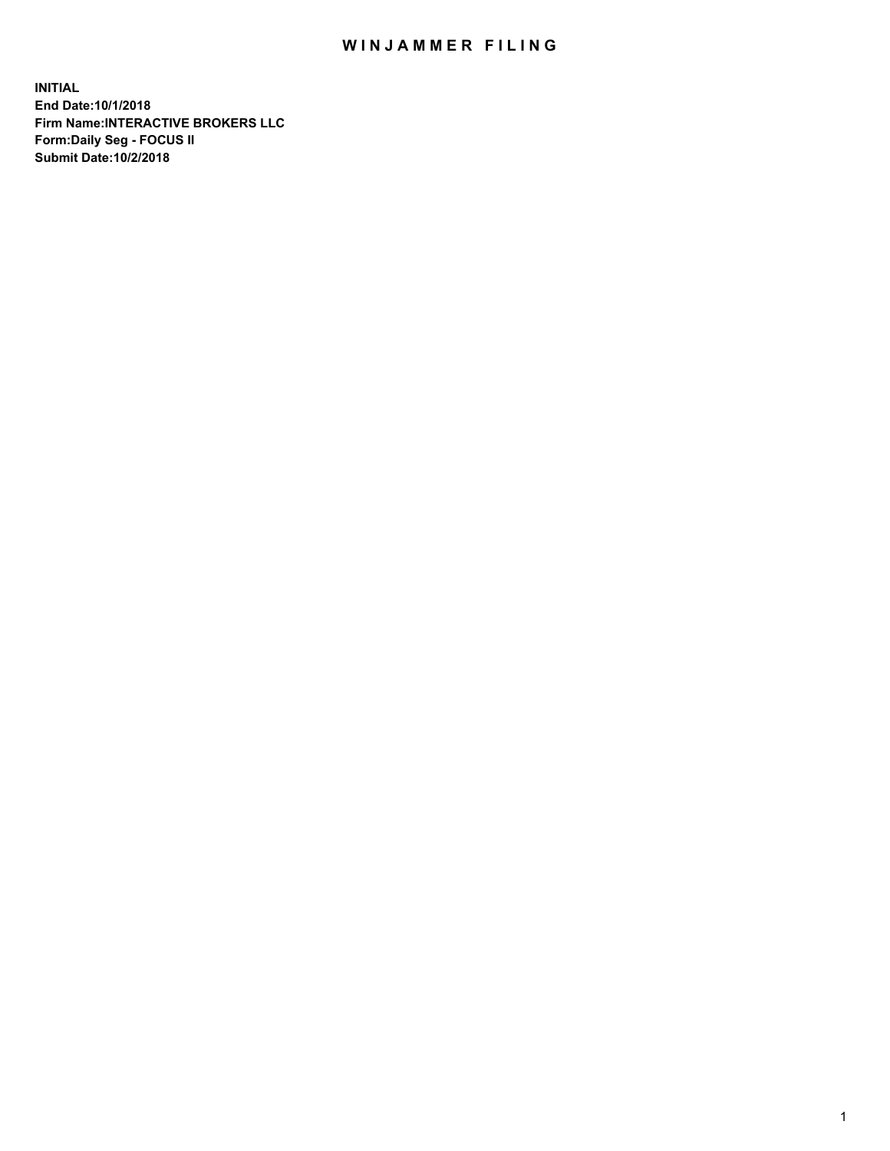## WIN JAMMER FILING

**INITIAL End Date:10/1/2018 Firm Name:INTERACTIVE BROKERS LLC Form:Daily Seg - FOCUS II Submit Date:10/2/2018**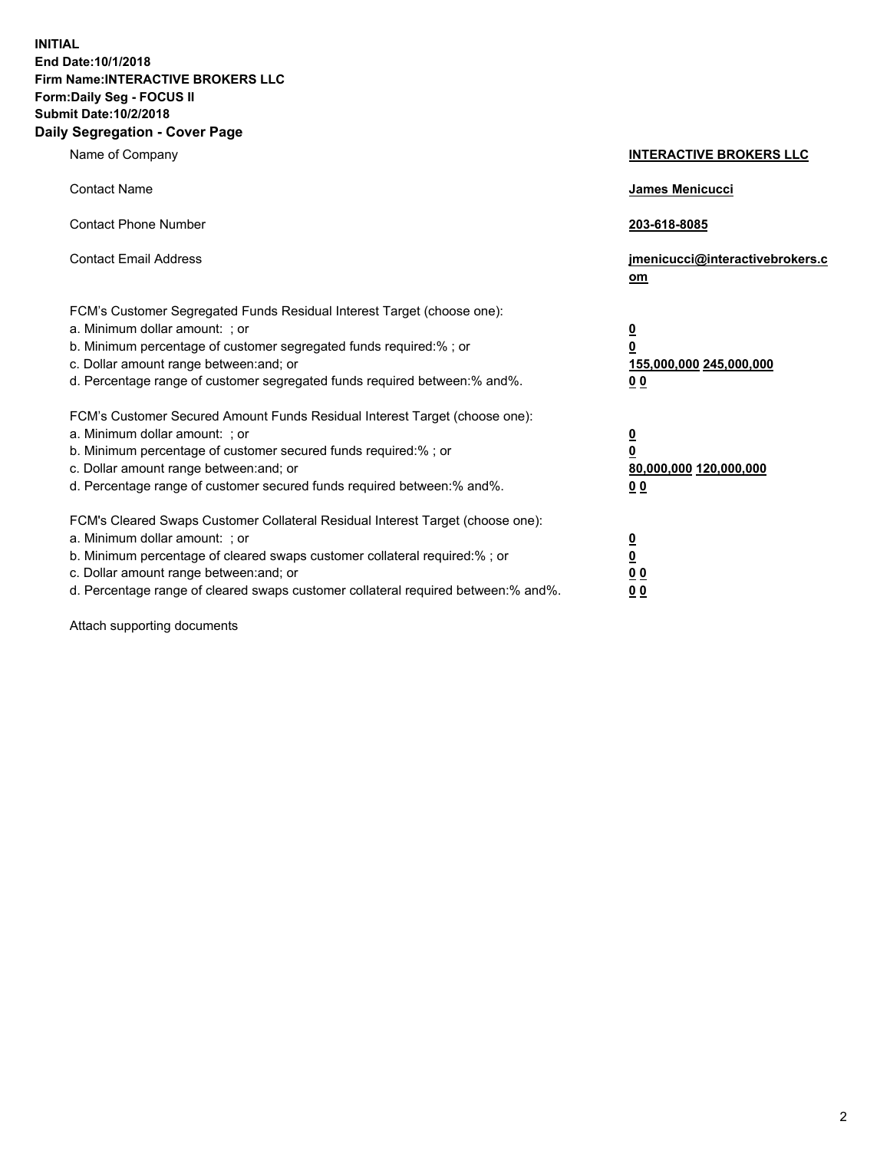**INITIAL End Date:10/1/2018 Firm Name:INTERACTIVE BROKERS LLC Form:Daily Seg - FOCUS II Submit Date:10/2/2018 Daily Segregation - Cover Page**

| Name of Company                                                                                                                                                                                                                                                                                                                | <b>INTERACTIVE BROKERS LLC</b>                                                                  |
|--------------------------------------------------------------------------------------------------------------------------------------------------------------------------------------------------------------------------------------------------------------------------------------------------------------------------------|-------------------------------------------------------------------------------------------------|
| <b>Contact Name</b>                                                                                                                                                                                                                                                                                                            | James Menicucci                                                                                 |
| <b>Contact Phone Number</b>                                                                                                                                                                                                                                                                                                    | 203-618-8085                                                                                    |
| <b>Contact Email Address</b>                                                                                                                                                                                                                                                                                                   | jmenicucci@interactivebrokers.c<br>om                                                           |
| FCM's Customer Segregated Funds Residual Interest Target (choose one):<br>a. Minimum dollar amount: ; or<br>b. Minimum percentage of customer segregated funds required:% ; or<br>c. Dollar amount range between: and; or<br>d. Percentage range of customer segregated funds required between:% and%.                         | $\overline{\mathbf{0}}$<br>$\overline{\mathbf{0}}$<br>155,000,000 245,000,000<br>0 <sub>0</sub> |
| FCM's Customer Secured Amount Funds Residual Interest Target (choose one):<br>a. Minimum dollar amount: ; or<br>b. Minimum percentage of customer secured funds required:%; or<br>c. Dollar amount range between: and; or<br>d. Percentage range of customer secured funds required between:% and%.                            | $\overline{\mathbf{0}}$<br>$\overline{\mathbf{0}}$<br>80,000,000 120,000,000<br>0 <sub>0</sub>  |
| FCM's Cleared Swaps Customer Collateral Residual Interest Target (choose one):<br>a. Minimum dollar amount: ; or<br>b. Minimum percentage of cleared swaps customer collateral required:% ; or<br>c. Dollar amount range between: and; or<br>d. Percentage range of cleared swaps customer collateral required between:% and%. | $\overline{\mathbf{0}}$<br>$\underline{\mathbf{0}}$<br>0 <sub>0</sub><br>0 <sub>0</sub>         |

Attach supporting documents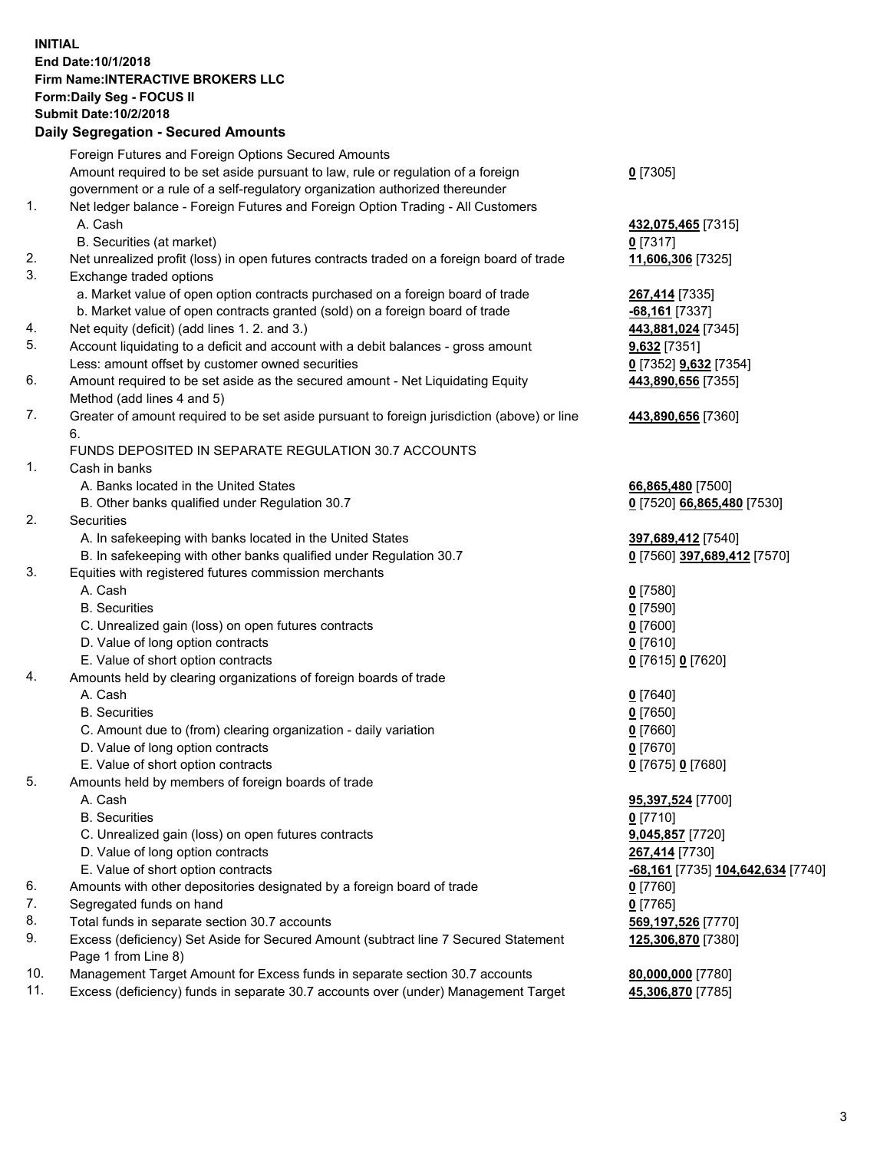## **INITIAL End Date:10/1/2018 Firm Name:INTERACTIVE BROKERS LLC Form:Daily Seg - FOCUS II Submit Date:10/2/2018 Daily Segregation - Secured Amounts**

|     | Daily Segregation - Secured Alliounts                                                                      |                                                 |
|-----|------------------------------------------------------------------------------------------------------------|-------------------------------------------------|
|     | Foreign Futures and Foreign Options Secured Amounts                                                        |                                                 |
|     | Amount required to be set aside pursuant to law, rule or regulation of a foreign                           | $0$ [7305]                                      |
|     | government or a rule of a self-regulatory organization authorized thereunder                               |                                                 |
| 1.  | Net ledger balance - Foreign Futures and Foreign Option Trading - All Customers                            |                                                 |
|     | A. Cash                                                                                                    | 432,075,465 [7315]                              |
|     | B. Securities (at market)                                                                                  | $0$ [7317]                                      |
| 2.  | Net unrealized profit (loss) in open futures contracts traded on a foreign board of trade                  | 11,606,306 [7325]                               |
| 3.  | Exchange traded options                                                                                    |                                                 |
|     | a. Market value of open option contracts purchased on a foreign board of trade                             | 267,414 [7335]                                  |
|     | b. Market value of open contracts granted (sold) on a foreign board of trade                               | -68,161 [7337]                                  |
| 4.  | Net equity (deficit) (add lines 1.2. and 3.)                                                               | 443,881,024 [7345]                              |
| 5.  | Account liquidating to a deficit and account with a debit balances - gross amount                          | 9,632 [7351]                                    |
|     | Less: amount offset by customer owned securities                                                           | 0 [7352] 9,632 [7354]                           |
| 6.  | Amount required to be set aside as the secured amount - Net Liquidating Equity                             | 443,890,656 [7355]                              |
|     | Method (add lines 4 and 5)                                                                                 |                                                 |
| 7.  | Greater of amount required to be set aside pursuant to foreign jurisdiction (above) or line                | 443,890,656 [7360]                              |
|     | 6.<br>FUNDS DEPOSITED IN SEPARATE REGULATION 30.7 ACCOUNTS                                                 |                                                 |
| 1.  | Cash in banks                                                                                              |                                                 |
|     | A. Banks located in the United States                                                                      |                                                 |
|     | B. Other banks qualified under Regulation 30.7                                                             | 66,865,480 [7500]<br>0 [7520] 66,865,480 [7530] |
| 2.  | Securities                                                                                                 |                                                 |
|     | A. In safekeeping with banks located in the United States                                                  | 397,689,412 [7540]                              |
|     | B. In safekeeping with other banks qualified under Regulation 30.7                                         | 0 [7560] 397,689,412 [7570]                     |
| 3.  | Equities with registered futures commission merchants                                                      |                                                 |
|     | A. Cash                                                                                                    | $0$ [7580]                                      |
|     | <b>B.</b> Securities                                                                                       | $0$ [7590]                                      |
|     | C. Unrealized gain (loss) on open futures contracts                                                        | $0$ [7600]                                      |
|     | D. Value of long option contracts                                                                          | $0$ [7610]                                      |
|     | E. Value of short option contracts                                                                         | 0 [7615] 0 [7620]                               |
| 4.  | Amounts held by clearing organizations of foreign boards of trade                                          |                                                 |
|     | A. Cash                                                                                                    | $0$ [7640]                                      |
|     | <b>B.</b> Securities                                                                                       | $0$ [7650]                                      |
|     | C. Amount due to (from) clearing organization - daily variation                                            | $0$ [7660]                                      |
|     | D. Value of long option contracts                                                                          | $0$ [7670]                                      |
|     | E. Value of short option contracts                                                                         | 0 [7675] 0 [7680]                               |
| 5.  | Amounts held by members of foreign boards of trade                                                         |                                                 |
|     | A. Cash                                                                                                    | 95,397,524 [7700]                               |
|     | <b>B.</b> Securities                                                                                       | $0$ [7710]                                      |
|     | C. Unrealized gain (loss) on open futures contracts                                                        | 9,045,857 [7720]                                |
|     | D. Value of long option contracts                                                                          | 267,414 [7730]                                  |
|     | E. Value of short option contracts                                                                         | <u>-68,161</u> [7735] <u>104,642,634</u> [7740] |
| 6.  | Amounts with other depositories designated by a foreign board of trade                                     | 0 [7760]                                        |
| 7.  | Segregated funds on hand                                                                                   | $0$ [7765]                                      |
| 8.  | Total funds in separate section 30.7 accounts                                                              | 569,197,526 [7770]                              |
| 9.  | Excess (deficiency) Set Aside for Secured Amount (subtract line 7 Secured Statement<br>Page 1 from Line 8) | 125,306,870 [7380]                              |
| 10. | Management Target Amount for Excess funds in separate section 30.7 accounts                                | 80,000,000 [7780]                               |
| 11. | Excess (deficiency) funds in separate 30.7 accounts over (under) Management Target                         | 45,306,870 [7785]                               |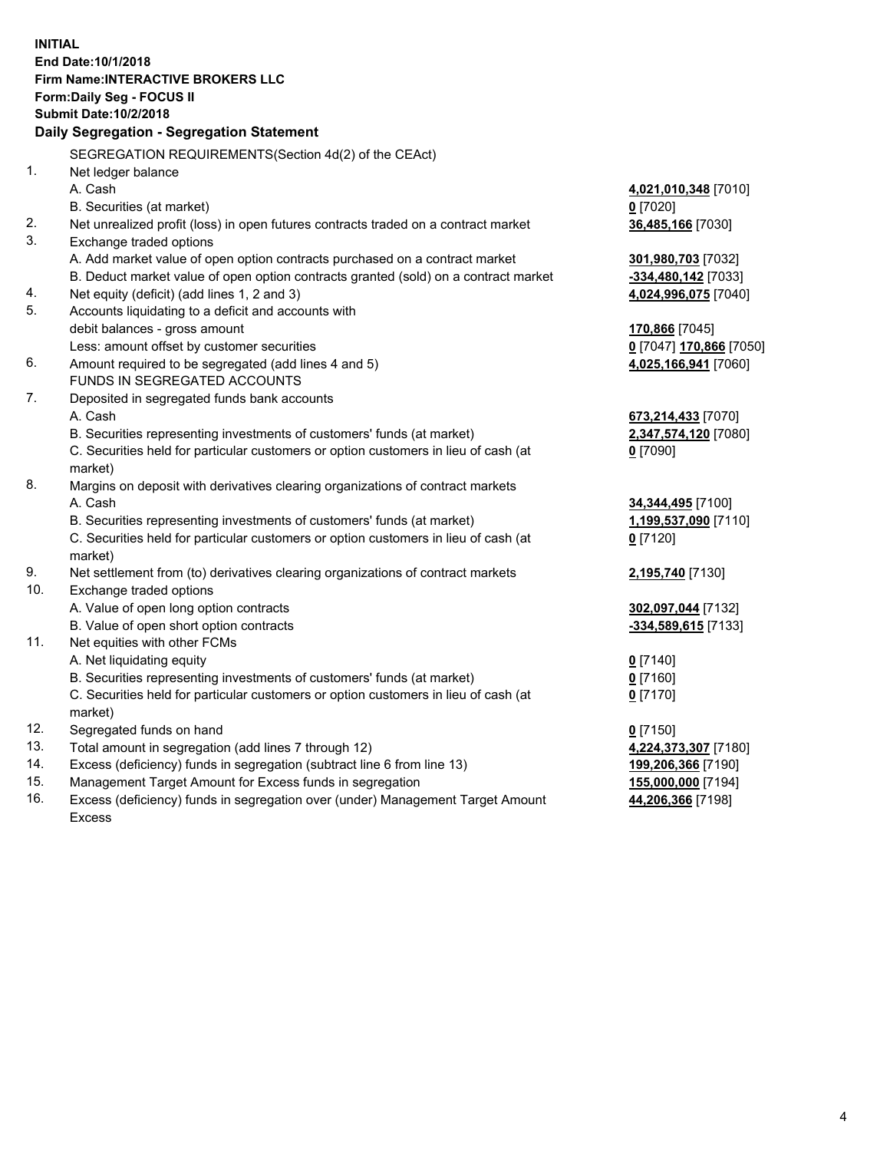**INITIAL End Date:10/1/2018 Firm Name:INTERACTIVE BROKERS LLC Form:Daily Seg - FOCUS II Submit Date:10/2/2018 Daily Segregation - Segregation Statement** SEGREGATION REQUIREMENTS(Section 4d(2) of the CEAct) 1. Net ledger balance A. Cash **4,021,010,348** [7010] B. Securities (at market) **0** [7020] 2. Net unrealized profit (loss) in open futures contracts traded on a contract market **36,485,166** [7030] 3. Exchange traded options A. Add market value of open option contracts purchased on a contract market **301,980,703** [7032] B. Deduct market value of open option contracts granted (sold) on a contract market **-334,480,142** [7033] 4. Net equity (deficit) (add lines 1, 2 and 3) **4,024,996,075** [7040] 5. Accounts liquidating to a deficit and accounts with debit balances - gross amount **170,866** [7045] Less: amount offset by customer securities **0** [7047] **170,866** [7050] 6. Amount required to be segregated (add lines 4 and 5) **4,025,166,941** [7060] FUNDS IN SEGREGATED ACCOUNTS 7. Deposited in segregated funds bank accounts A. Cash **673,214,433** [7070] B. Securities representing investments of customers' funds (at market) **2,347,574,120** [7080] C. Securities held for particular customers or option customers in lieu of cash (at market) **0** [7090] 8. Margins on deposit with derivatives clearing organizations of contract markets A. Cash **34,344,495** [7100] B. Securities representing investments of customers' funds (at market) **1,199,537,090** [7110] C. Securities held for particular customers or option customers in lieu of cash (at market) **0** [7120] 9. Net settlement from (to) derivatives clearing organizations of contract markets **2,195,740** [7130] 10. Exchange traded options A. Value of open long option contracts **302,097,044** [7132] B. Value of open short option contracts **-334,589,615** [7133] 11. Net equities with other FCMs A. Net liquidating equity **0** [7140] B. Securities representing investments of customers' funds (at market) **0** [7160] C. Securities held for particular customers or option customers in lieu of cash (at market) **0** [7170] 12. Segregated funds on hand **0** [7150] 13. Total amount in segregation (add lines 7 through 12) **4,224,373,307** [7180] 14. Excess (deficiency) funds in segregation (subtract line 6 from line 13) **199,206,366** [7190] 15. Management Target Amount for Excess funds in segregation **155,000,000** [7194] **44,206,366** [7198]

16. Excess (deficiency) funds in segregation over (under) Management Target Amount Excess